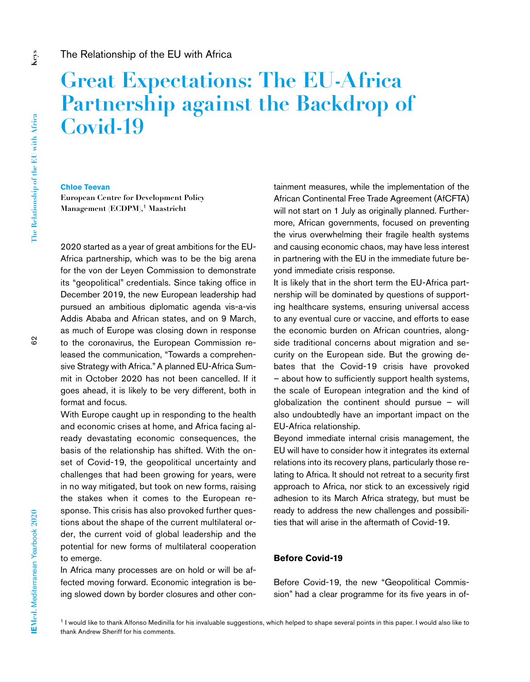# **Great Expectations: The EU-Africa Partnership against the Backdrop of Covid-19**

#### **Chloe Teevan**

**European Centre for Development Policy Management (ECDPM),**1 **Maastricht**

2020 started as a year of great ambitions for the EU-Africa partnership, which was to be the big arena for the von der Leyen Commission to demonstrate its "geopolitical" credentials. Since taking office in December 2019, the new European leadership had pursued an ambitious diplomatic agenda vis-a-vis Addis Ababa and African states, and on 9 March, as much of Europe was closing down in response to the coronavirus, the European Commission released the communication, "Towards a comprehensive Strategy with Africa." A planned EU-Africa Summit in October 2020 has not been cancelled. If it goes ahead, it is likely to be very different, both in format and focus.

With Europe caught up in responding to the health and economic crises at home, and Africa facing already devastating economic consequences, the basis of the relationship has shifted. With the onset of Covid-19, the geopolitical uncertainty and challenges that had been growing for years, were in no way mitigated, but took on new forms, raising the stakes when it comes to the European response. This crisis has also provoked further questions about the shape of the current multilateral order, the current void of global leadership and the potential for new forms of multilateral cooperation to emerge.

In Africa many processes are on hold or will be affected moving forward. Economic integration is being slowed down by border closures and other con-

tainment measures, while the implementation of the African Continental Free Trade Agreement (AfCFTA) will not start on 1 July as originally planned. Furthermore, African governments, focused on preventing the virus overwhelming their fragile health systems and causing economic chaos, may have less interest in partnering with the EU in the immediate future beyond immediate crisis response.

It is likely that in the short term the EU-Africa partnership will be dominated by questions of supporting healthcare systems, ensuring universal access to any eventual cure or vaccine, and efforts to ease the economic burden on African countries, alongside traditional concerns about migration and security on the European side. But the growing debates that the Covid-19 crisis have provoked – about how to sufficiently support health systems, the scale of European integration and the kind of globalization the continent should pursue – will also undoubtedly have an important impact on the EU-Africa relationship.

Beyond immediate internal crisis management, the EU will have to consider how it integrates its external relations into its recovery plans, particularly those relating to Africa. It should not retreat to a security first approach to Africa, nor stick to an excessively rigid adhesion to its March Africa strategy, but must be ready to address the new challenges and possibilities that will arise in the aftermath of Covid-19.

## **Before Covid-19**

Before Covid-19, the new "Geopolitical Commission" had a clear programme for its five years in of-

<sup>&</sup>lt;sup>1</sup> I would like to thank Alfonso Medinilla for his invaluable suggestions, which helped to shape several points in this paper. I would also like to thank Andrew Sheriff for his comments.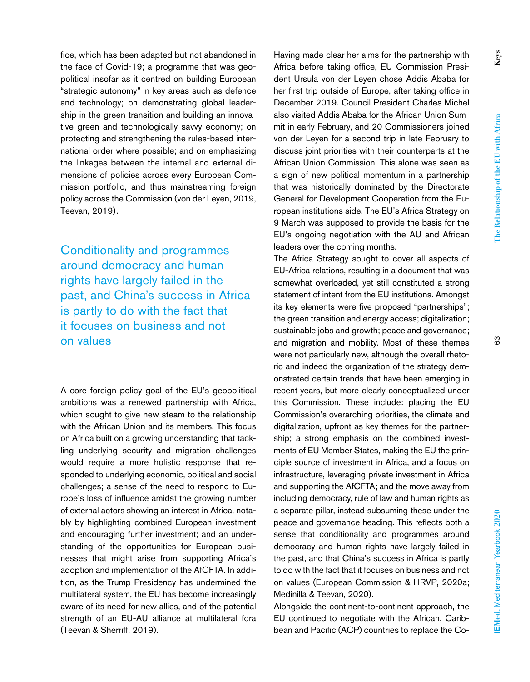fice, which has been adapted but not abandoned in the face of Covid-19; a programme that was geopolitical insofar as it centred on building European "strategic autonomy" in key areas such as defence and technology; on demonstrating global leadership in the green transition and building an innovative green and technologically savvy economy; on protecting and strengthening the rules-based international order where possible; and on emphasizing the linkages between the internal and external dimensions of policies across every European Commission portfolio, and thus mainstreaming foreign policy across the Commission (von der Leyen, 2019, Teevan, 2019).

Conditionality and programmes around democracy and human rights have largely failed in the past, and China's success in Africa is partly to do with the fact that it focuses on business and not on values

A core foreign policy goal of the EU's geopolitical ambitions was a renewed partnership with Africa, which sought to give new steam to the relationship with the African Union and its members. This focus on Africa built on a growing understanding that tackling underlying security and migration challenges would require a more holistic response that responded to underlying economic, political and social challenges; a sense of the need to respond to Europe's loss of influence amidst the growing number of external actors showing an interest in Africa, notably by highlighting combined European investment and encouraging further investment; and an understanding of the opportunities for European businesses that might arise from supporting Africa's adoption and implementation of the AfCFTA. In addition, as the Trump Presidency has undermined the multilateral system, the EU has become increasingly aware of its need for new allies, and of the potential strength of an EU-AU alliance at multilateral fora (Teevan & Sherriff, 2019).

Having made clear her aims for the partnership with Africa before taking office, EU Commission President Ursula von der Leyen chose Addis Ababa for her first trip outside of Europe, after taking office in December 2019. Council President Charles Michel also visited Addis Ababa for the African Union Summit in early February, and 20 Commissioners joined von der Leyen for a second trip in late February to discuss joint priorities with their counterparts at the African Union Commission. This alone was seen as a sign of new political momentum in a partnership that was historically dominated by the Directorate General for Development Cooperation from the European institutions side. The EU's Africa Strategy on 9 March was supposed to provide the basis for the EU's ongoing negotiation with the AU and African leaders over the coming months.

The Africa Strategy sought to cover all aspects of EU-Africa relations, resulting in a document that was somewhat overloaded, yet still constituted a strong statement of intent from the EU institutions. Amongst its key elements were five proposed "partnerships"; the green transition and energy access; digitalization; sustainable jobs and growth; peace and governance; and migration and mobility. Most of these themes were not particularly new, although the overall rhetoric and indeed the organization of the strategy demonstrated certain trends that have been emerging in recent years, but more clearly conceptualized under this Commission. These include: placing the EU Commission's overarching priorities, the climate and digitalization, upfront as key themes for the partnership; a strong emphasis on the combined investments of EU Member States, making the EU the principle source of investment in Africa, and a focus on infrastructure, leveraging private investment in Africa and supporting the AfCFTA; and the move away from including democracy, rule of law and human rights as a separate pillar, instead subsuming these under the peace and governance heading. This reflects both a sense that conditionality and programmes around democracy and human rights have largely failed in the past, and that China's success in Africa is partly to do with the fact that it focuses on business and not on values (European Commission & HRVP, 2020a; Medinilla & Teevan, 2020).

Alongside the continent-to-continent approach, the EU continued to negotiate with the African, Caribbean and Pacific (ACP) countries to replace the Co-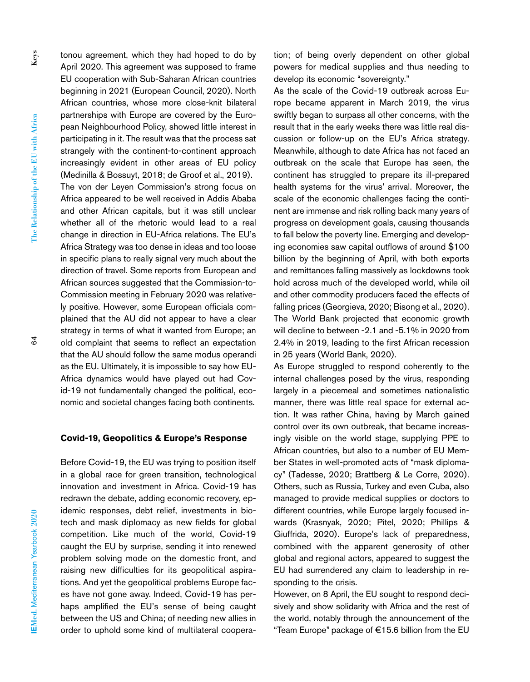tonou agreement, which they had hoped to do by April 2020. This agreement was supposed to frame EU cooperation with Sub-Saharan African countries beginning in 2021 (European Council, 2020). North African countries, whose more close-knit bilateral partnerships with Europe are covered by the European Neighbourhood Policy, showed little interest in participating in it. The result was that the process sat strangely with the continent-to-continent approach increasingly evident in other areas of EU policy (Medinilla & Bossuyt, 2018; de Groof et al., 2019). The von der Leyen Commission's strong focus on Africa appeared to be well received in Addis Ababa and other African capitals, but it was still unclear whether all of the rhetoric would lead to a real change in direction in EU-Africa relations. The EU's Africa Strategy was too dense in ideas and too loose in specific plans to really signal very much about the direction of travel. Some reports from European and African sources suggested that the Commission-to-Commission meeting in February 2020 was relatively positive. However, some European officials complained that the AU did not appear to have a clear strategy in terms of what it wanted from Europe; an old complaint that seems to reflect an expectation that the AU should follow the same modus operandi as the EU. Ultimately, it is impossible to say how EU-Africa dynamics would have played out had Covid-19 not fundamentally changed the political, economic and societal changes facing both continents.

#### **Covid-19, Geopolitics & Europe's Response**

Before Covid-19, the EU was trying to position itself in a global race for green transition, technological innovation and investment in Africa. Covid-19 has redrawn the debate, adding economic recovery, epidemic responses, debt relief, investments in biotech and mask diplomacy as new fields for global competition. Like much of the world, Covid-19 caught the EU by surprise, sending it into renewed problem solving mode on the domestic front, and raising new difficulties for its geopolitical aspirations. And yet the geopolitical problems Europe faces have not gone away. Indeed, Covid-19 has perhaps amplified the EU's sense of being caught between the US and China; of needing new allies in order to uphold some kind of multilateral cooperation; of being overly dependent on other global powers for medical supplies and thus needing to develop its economic "sovereignty."

As the scale of the Covid-19 outbreak across Europe became apparent in March 2019, the virus swiftly began to surpass all other concerns, with the result that in the early weeks there was little real discussion or follow-up on the EU's Africa strategy. Meanwhile, although to date Africa has not faced an outbreak on the scale that Europe has seen, the continent has struggled to prepare its ill-prepared health systems for the virus' arrival. Moreover, the scale of the economic challenges facing the continent are immense and risk rolling back many years of progress on development goals, causing thousands to fall below the poverty line. Emerging and developing economies saw capital outflows of around \$100 billion by the beginning of April, with both exports and remittances falling massively as lockdowns took hold across much of the developed world, while oil and other commodity producers faced the effects of falling prices (Georgieva, 2020; Bisong et al., 2020). The World Bank projected that economic growth will decline to between -2.1 and -5.1% in 2020 from 2.4% in 2019, leading to the first African recession in 25 years (World Bank, 2020).

As Europe struggled to respond coherently to the internal challenges posed by the virus, responding largely in a piecemeal and sometimes nationalistic manner, there was little real space for external action. It was rather China, having by March gained control over its own outbreak, that became increasingly visible on the world stage, supplying PPE to African countries, but also to a number of EU Member States in well-promoted acts of "mask diplomacy" (Tadesse, 2020; Brattberg & Le Corre, 2020). Others, such as Russia, Turkey and even Cuba, also managed to provide medical supplies or doctors to different countries, while Europe largely focused inwards (Krasnyak, 2020; Pitel, 2020; Phillips & Giuffrida, 2020). Europe's lack of preparedness, combined with the apparent generosity of other global and regional actors, appeared to suggest the EU had surrendered any claim to leadership in responding to the crisis.

However, on 8 April, the EU sought to respond decisively and show solidarity with Africa and the rest of the world, notably through the announcement of the "Team Europe" package of €15.6 billion from the EU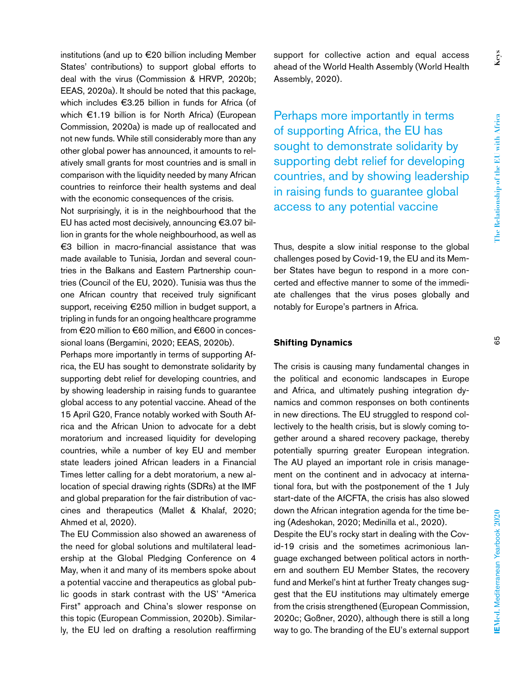institutions (and up to €20 billion including Member States' contributions) to support global efforts to deal with the virus (Commission & HRVP, 2020b; EEAS, 2020a). It should be noted that this package, which includes €3.25 billion in funds for Africa (of which €1.19 billion is for North Africa) (European Commission, 2020a) is made up of reallocated and not new funds. While still considerably more than any other global power has announced, it amounts to relatively small grants for most countries and is small in comparison with the liquidity needed by many African countries to reinforce their health systems and deal with the economic consequences of the crisis.

Not surprisingly, it is in the neighbourhood that the EU has acted most decisively, announcing €3.07 billion in grants for the whole neighbourhood, as well as €3 billion in macro-financial assistance that was made available to Tunisia, Jordan and several countries in the Balkans and Eastern Partnership countries (Council of the EU, 2020). Tunisia was thus the one African country that received truly significant support, receiving €250 million in budget support, a tripling in funds for an ongoing healthcare programme from €20 million to €60 million, and €600 in concessional loans (Bergamini, 2020; EEAS, 2020b).

Perhaps more importantly in terms of supporting Africa, the EU has sought to demonstrate solidarity by supporting debt relief for developing countries, and by showing leadership in raising funds to guarantee global access to any potential vaccine. Ahead of the 15 April G20, France notably worked with South Africa and the African Union to advocate for a debt moratorium and increased liquidity for developing countries, while a number of key EU and member state leaders joined African leaders in a Financial Times letter calling for a debt moratorium, a new allocation of special drawing rights (SDRs) at the IMF and global preparation for the fair distribution of vaccines and therapeutics (Mallet & Khalaf, 2020; Ahmed et al, 2020).

The EU Commission also showed an awareness of the need for global solutions and multilateral leadership at the Global Pledging Conference on 4 May, when it and many of its members spoke about a potential vaccine and therapeutics as global public goods in stark contrast with the US' "America First" approach and China's slower response on this topic (European Commission, 2020b). Similarly, the EU led on drafting a resolution reaffirming

support for collective action and equal access ahead of the World Health Assembly (World Health Assembly, 2020).

Perhaps more importantly in terms of supporting Africa, the EU has sought to demonstrate solidarity by supporting debt relief for developing countries, and by showing leadership in raising funds to guarantee global access to any potential vaccine

Thus, despite a slow initial response to the global challenges posed by Covid-19, the EU and its Member States have begun to respond in a more concerted and effective manner to some of the immediate challenges that the virus poses globally and notably for Europe's partners in Africa.

## **Shifting Dynamics**

The crisis is causing many fundamental changes in the political and economic landscapes in Europe and Africa, and ultimately pushing integration dynamics and common responses on both continents in new directions. The EU struggled to respond collectively to the health crisis, but is slowly coming together around a shared recovery package, thereby potentially spurring greater European integration. The AU played an important role in crisis management on the continent and in advocacy at international fora, but with the postponement of the 1 July start-date of the AfCFTA, the crisis has also slowed down the African integration agenda for the time being (Adeshokan, 2020; Medinilla et al., 2020).

Despite the EU's rocky start in dealing with the Covid-19 crisis and the sometimes acrimonious language exchanged between political actors in northern and southern EU Member States, the recovery fund and Merkel's hint at further Treaty changes suggest that the EU institutions may ultimately emerge from the crisis strengthened (European Commission, 2020c; Goßner, 2020), although there is still a long way to go. The branding of the EU's external support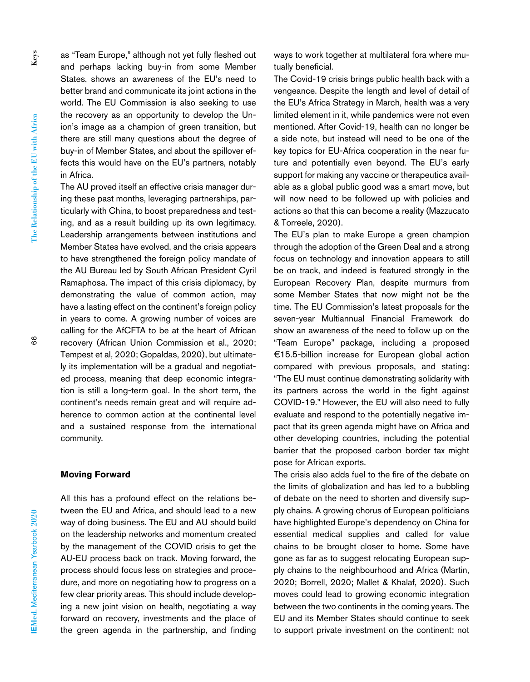as "Team Europe," although not yet fully fleshed out and perhaps lacking buy-in from some Member States, shows an awareness of the EU's need to better brand and communicate its joint actions in the world. The EU Commission is also seeking to use the recovery as an opportunity to develop the Union's image as a champion of green transition, but there are still many questions about the degree of buy-in of Member States, and about the spillover effects this would have on the EU's partners, notably in Africa.

The AU proved itself an effective crisis manager during these past months, leveraging partnerships, particularly with China, to boost preparedness and testing, and as a result building up its own legitimacy. Leadership arrangements between institutions and Member States have evolved, and the crisis appears to have strengthened the foreign policy mandate of the AU Bureau led by South African President Cyril Ramaphosa. The impact of this crisis diplomacy, by demonstrating the value of common action, may have a lasting effect on the continent's foreign policy in years to come. A growing number of voices are calling for the AfCFTA to be at the heart of African recovery (African Union Commission et al., 2020; Tempest et al, 2020; Gopaldas, 2020), but ultimately its implementation will be a gradual and negotiated process, meaning that deep economic integration is still a long-term goal. In the short term, the continent's needs remain great and will require adherence to common action at the continental level and a sustained response from the international community.

#### **Moving Forward**

All this has a profound effect on the relations between the EU and Africa, and should lead to a new way of doing business. The EU and AU should build on the leadership networks and momentum created by the management of the COVID crisis to get the AU-EU process back on track. Moving forward, the process should focus less on strategies and procedure, and more on negotiating how to progress on a few clear priority areas. This should include developing a new joint vision on health, negotiating a way forward on recovery, investments and the place of the green agenda in the partnership, and finding

ways to work together at multilateral fora where mutually beneficial.

The Covid-19 crisis brings public health back with a vengeance. Despite the length and level of detail of the EU's Africa Strategy in March, health was a very limited element in it, while pandemics were not even mentioned. After Covid-19, health can no longer be a side note, but instead will need to be one of the key topics for EU-Africa cooperation in the near future and potentially even beyond. The EU's early support for making any vaccine or therapeutics available as a global public good was a smart move, but will now need to be followed up with policies and actions so that this can become a reality (Mazzucato & Torreele, 2020).

The EU's plan to make Europe a green champion through the adoption of the Green Deal and a strong focus on technology and innovation appears to still be on track, and indeed is featured strongly in the European Recovery Plan, despite murmurs from some Member States that now might not be the time. The EU Commission's latest proposals for the seven-year Multiannual Financial Framework do show an awareness of the need to follow up on the "Team Europe" package, including a proposed €15.5-billion increase for European global action compared with previous proposals, and stating: "The EU must continue demonstrating solidarity with its partners across the world in the fight against COVID-19." However, the EU will also need to fully evaluate and respond to the potentially negative impact that its green agenda might have on Africa and other developing countries, including the potential barrier that the proposed carbon border tax might pose for African exports.

The crisis also adds fuel to the fire of the debate on the limits of globalization and has led to a bubbling of debate on the need to shorten and diversify supply chains. A growing chorus of European politicians have highlighted Europe's dependency on China for essential medical supplies and called for value chains to be brought closer to home. Some have gone as far as to suggest relocating European supply chains to the neighbourhood and Africa (Martin, 2020; Borrell, 2020; Mallet & Khalaf, 2020). Such moves could lead to growing economic integration between the two continents in the coming years. The EU and its Member States should continue to seek to support private investment on the continent; not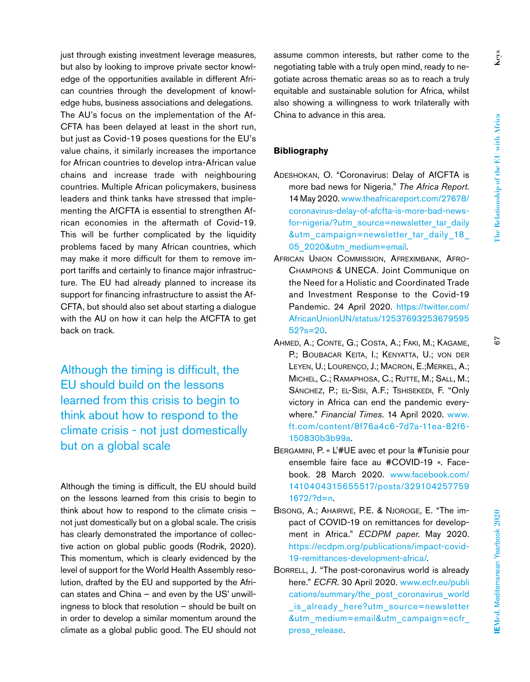just through existing investment leverage measures, but also by looking to improve private sector knowledge of the opportunities available in different African countries through the development of knowledge hubs, business associations and delegations. The AU's focus on the implementation of the Af-CFTA has been delayed at least in the short run, but just as Covid-19 poses questions for the EU's value chains, it similarly increases the importance for African countries to develop intra-African value chains and increase trade with neighbouring countries. Multiple African policymakers, business leaders and think tanks have stressed that implementing the AfCFTA is essential to strengthen African economies in the aftermath of Covid-19. This will be further complicated by the liquidity problems faced by many African countries, which may make it more difficult for them to remove import tariffs and certainly to finance major infrastructure. The EU had already planned to increase its support for financing infrastructure to assist the Af-CFTA, but should also set about starting a dialogue with the AU on how it can help the AfCFTA to get back on track.

Although the timing is difficult, the EU should build on the lessons learned from this crisis to begin to think about how to respond to the climate crisis - not just domestically but on a global scale

Although the timing is difficult, the EU should build on the lessons learned from this crisis to begin to think about how to respond to the climate crisis – not just domestically but on a global scale. The crisis has clearly demonstrated the importance of collective action on global public goods (Rodrik, 2020). This momentum, which is clearly evidenced by the level of support for the World Health Assembly resolution, drafted by the EU and supported by the African states and China – and even by the US' unwillingness to block that resolution – should be built on in order to develop a similar momentum around the climate as a global public good. The EU should not assume common interests, but rather come to the negotiating table with a truly open mind, ready to negotiate across thematic areas so as to reach a truly equitable and sustainable solution for Africa, whilst also showing a willingness to work trilaterally with China to advance in this area.

# **Bibliography**

- Adeshokan, O. "Coronavirus: Delay of AfCFTA is more bad news for Nigeria." *The Africa Report*. 14 May 2020. [www.theafricareport.com/27678/](http://www.theafricareport.com/27678/coronavirus-delay-of-afcfta-is-more-bad-news-for-nigeria/?utm_source=newsletter_tar_daily) [coronavirus-delay-of-afcfta-is-more-bad-news](http://www.theafricareport.com/27678/coronavirus-delay-of-afcfta-is-more-bad-news-for-nigeria/?utm_source=newsletter_tar_daily)[for-nigeria/?utm\\_source=newsletter\\_tar\\_daily](http://www.theafricareport.com/27678/coronavirus-delay-of-afcfta-is-more-bad-news-for-nigeria/?utm_source=newsletter_tar_daily) &utm\_campaign=newsletter\_tar\_daily\_18\_ 05\_2020&utm\_medium=email.
- African Union Commission, Afreximbank, Afro-Champions & UNECA. Joint Communique on the Need for a Holistic and Coordinated Trade and Investment Response to the Covid-19 Pandemic. 24 April 2020. [https://twitter.com/](https://twitter.com/AfricanUnionUN/status/1253769325367959552?s=20) [AfricanUnionUN/status/12537693253679595](https://twitter.com/AfricanUnionUN/status/1253769325367959552?s=20)  $52$ ?s=20.
- Ahmed, A.; Conte, G.; Costa, A.; Faki, M.; Kagame, P.; Boubacar Keita, I.; Kenyatta, U.; von der Leyen, U.; Lourenço, J.; Macron, E.;Merkel, A.; Michel, C.; Ramaphosa, C.; Rutte, M.; Sall, M.; Sánchez, P.; el-Sisi, A.F.; Tshisekedi, F. "Only victory in Africa can end the pandemic everywhere." *Financial Times*. 14 April 2020. [www.](http://www.ft.com/content/8f76a4c6-7d7a-11ea-82f6-150830b3b99a) [ft.com/content/8f76a4c6-7d7a-11ea-82f6-](http://www.ft.com/content/8f76a4c6-7d7a-11ea-82f6-150830b3b99a) [150830b3b99a](http://www.ft.com/content/8f76a4c6-7d7a-11ea-82f6-150830b3b99a).
- Bergamini, P. « L'#UE avec et pour la #Tunisie pour ensemble faire face au #COVID-19 ». Facebook. 28 March 2020. [www.facebook.com/](http://www.facebook.com/1410404315655517/posts/3291042577591672/?d=n) 1410404315655517/posts/329104257759 1672/?d=n.
- Bisong, A.; Ahairwe, P.E. & Njoroge, E. "The impact of COVID-19 on remittances for development in Africa." *ECDPM paper*. May 2020. [https://ecdpm.org/publications/impact-covid-](https://ecdpm.org/publications/impact-covid-19-remittances-development-africa/)[19-remittances-development-africa/](https://ecdpm.org/publications/impact-covid-19-remittances-development-africa/).
- Borrell, J. "The post-coronavirus world is already here." *ECFR*. 30 April 2020. [www.ecfr.eu/publi](http://www.ecfr.eu/publications/summary/the_post_coronavirus_world_is_already_here?utm_source=newsletter&utm_medium=email&utm_campaign=ecfr_press_release) cations/summary/the\_post\_coronavirus\_world is already here?utm\_source=newsletter &utm\_medium=email&utm\_campaign=ecfr\_ press\_release.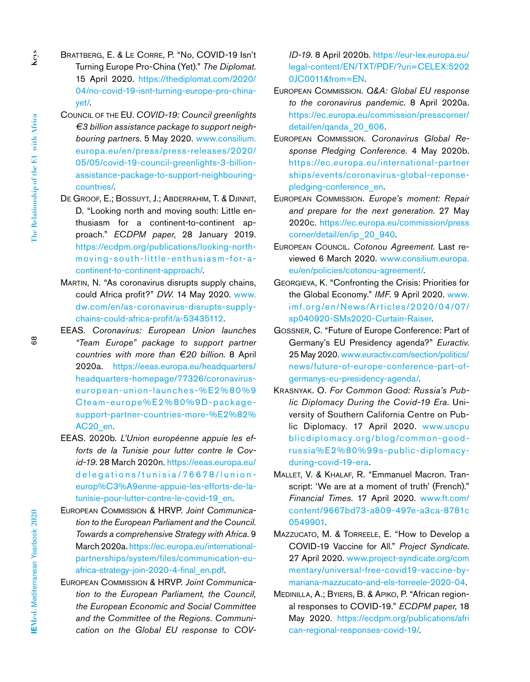- Brattberg, E. & Le Corre, P. "No, COVID-19 Isn't Turning Europe Pro-China (Yet)." *The Diplomat*. 15 April 2020. <https://thediplomat.com/2020/> 04/no-covid-19-isnt-turning-europe-pro-chinayet/.
	- Council of the EU. *COVID-19: Council greenlights €3 billion assistance package to support neighbouring partners*. 5 May 2020. [www.consilium.](http://www.consilium.europa.eu/en/press/press-releases/2020/) [europa.eu/en/press/press-releases/2020/](http://www.consilium.europa.eu/en/press/press-releases/2020/) 05/05/covid-19-council-greenlights-3-billionassistance-package-to-support-neighbouringcountries/.
	- De Groof, E.; Bossuyt, J.; Abderrahim, T. & Djinnit, D. "Looking north and moving south: Little enthusiasm for a continent-to-continent approach." *ECDPM paper*, 28 January 2019. [https://ecdpm.org/publications/looking-north](https://ecdpm.org/publications/looking-north-moving-south-little-enthusiasm-for-a-continent-to-continent-approach/)[moving-south-little-enthusiasm-for-a](https://ecdpm.org/publications/looking-north-moving-south-little-enthusiasm-for-a-continent-to-continent-approach/)[continent-to-continent-approach/](https://ecdpm.org/publications/looking-north-moving-south-little-enthusiasm-for-a-continent-to-continent-approach/).
	- Martin, N. "As coronavirus disrupts supply chains, could Africa profit?" *DW*. 14 May 2020. [www.](http://www.dw.com/en/as-coronavirus-disrupts-supply-chains-could-africa-profit/a-53435112) [dw.com/en/as-coronavirus-disrupts-supply](http://www.dw.com/en/as-coronavirus-disrupts-supply-chains-could-africa-profit/a-53435112)[chains-could-africa-profit/a-53435112.](http://www.dw.com/en/as-coronavirus-disrupts-supply-chains-could-africa-profit/a-53435112)
	- EEAS*. Coronavirus: European Union launches "Team Europe" package to support partner countries with more than €20 billion*. 8 April 2020a. [https://eeas.europa.eu/headquarters/](https://eeas.europa.eu/headquarters/headquarters-homepage/77326/coronavirus-european-union-launches-%E2%80) [headquarters-homepage/77326/coronavirus](https://eeas.europa.eu/headquarters/headquarters-homepage/77326/coronavirus-european-union-launches-%E2%80)[european-union-launches-%E2%80%](https://eeas.europa.eu/headquarters/headquarters-homepage/77326/coronavirus-european-union-launches-%E2%80)9 Cteam-europe%E2%80%9D-packagesupport-partner-countries-more-%E2%82% AC20\_en.
	- EEAS. 2020b*. L'Union européenne appuie les efforts de la Tunisie pour lutter contre le Covid-19*. 28 March 2020n. [https://eeas.europa.eu/](https://eeas.europa.eu/delegations/tunisia/76678/lunion-europ%C3%A9enne-appuie-les-efforts-de-la-tunisie-pour-lutter-contre-le-covid-19_en) [delegations/tunisia/76678/lunion](https://eeas.europa.eu/delegations/tunisia/76678/lunion-europ%C3%A9enne-appuie-les-efforts-de-la-tunisie-pour-lutter-contre-le-covid-19_en)[europ%C3%A9enne-appuie-les-efforts-de-la](https://eeas.europa.eu/delegations/tunisia/76678/lunion-europ%C3%A9enne-appuie-les-efforts-de-la-tunisie-pour-lutter-contre-le-covid-19_en)[tunisie-pour-lutter-contre-le-covid-19\\_en.](https://eeas.europa.eu/delegations/tunisia/76678/lunion-europ%C3%A9enne-appuie-les-efforts-de-la-tunisie-pour-lutter-contre-le-covid-19_en)
	- European Commission & HRVP. *Joint Communication to the European Parliament and the Council. Towards a comprehensive Strategy with Africa*. 9 March 2020a. [https://ec.europa.eu/international](https://ec.europa.eu/international-partnerships/system/files/communication-eu-africa-strategy-join-2020-4-final_en.pdf)[partnerships/system/files/communication-eu](https://ec.europa.eu/international-partnerships/system/files/communication-eu-africa-strategy-join-2020-4-final_en.pdf)[africa-strategy-join-2020-4-final\\_en.pdf.](https://ec.europa.eu/international-partnerships/system/files/communication-eu-africa-strategy-join-2020-4-final_en.pdf)
	- European Commission & HRVP. *Joint Communication to the European Parliament, the Council, the European Economic and Social Committee and the Committee of the Regions. Communication on the Global EU response to COV-*

*ID-19*. 8 April 2020b. [https://eur-lex.europa.eu/](https://eur-lex.europa.eu/legal-content/EN/TXT/PDF/?uri=CELEX:52020JC0011&from=EN) [legal-content/EN/TXT/PDF/?uri=CELEX](https://eur-lex.europa.eu/legal-content/EN/TXT/PDF/?uri=CELEX:52020JC0011&from=EN):5202 0JC0011&from=EN.

- European Commission. *Q&A: Global EU response to the coronavirus pandemic*. 8 April 2020a. [https://ec.europa.eu/commission/presscorner/](https://ec.europa.eu/commission/presscorner/detail/en/qanda_20_606) [detail/en/qanda\\_20\\_606.](https://ec.europa.eu/commission/presscorner/detail/en/qanda_20_606)
- European Commission. *Coronavirus Global Response Pledging Conference*. 4 May 2020b. [https://ec.europa.eu/international-partner](https://ec.europa.eu/international-partnerships/events/coronavirus-global-reponse-pledging-conference_en) ships/events/coronavirus-global-reponsepledging-conference\_en.
- European Commission. *Europe's moment: Repair and prepare for the next generation*. 27 May 2020c. <https://ec.europa.eu/commission/press> corner/detail/en/ip\_20\_940.
- European Council. *Cotonou Agreement*. Last reviewed 6 March 2020. [www.consilium.europa.](http://www.consilium.europa.eu/en/policies/cotonou-agreement/) [eu/en/policies/cotonou-agreement/.](http://www.consilium.europa.eu/en/policies/cotonou-agreement/)
- Georgieva, K. "Confronting the Crisis: Priorities for the Global Economy." *IMF*. 9 April 2020. [www.](http://www.imf.org/en/News/Articles/2020/04/07/sp040920-SMs2020-Curtain-Raiser) [imf.org/en/News/Articles/2020/04/07/](http://www.imf.org/en/News/Articles/2020/04/07/sp040920-SMs2020-Curtain-Raiser) [sp040920-SMs2020-Curtain-Raiser.](http://www.imf.org/en/News/Articles/2020/04/07/sp040920-SMs2020-Curtain-Raiser)
- Gossner, C. "Future of Europe Conference: Part of Germany's EU Presidency agenda?" *Euractiv*. 25 May 2020. [www.euractiv.com/section/politics/](http://www.euractiv.com/section/politics/news/future-of-europe-conference-part-of-germanys-eu-presidency-agenda/) [news/future-of-europe-conference-part-of](http://www.euractiv.com/section/politics/news/future-of-europe-conference-part-of-germanys-eu-presidency-agenda/)[germanys-eu-presidency-agenda/](http://www.euractiv.com/section/politics/news/future-of-europe-conference-part-of-germanys-eu-presidency-agenda/).
- Krasnyak. O. *For Common Good: Russia's Public Diplomacy During the Covid-19 Era*. University of Southern California Centre on Public Diplomacy. 17 April 2020. www.uscpu [blicdiplomacy.org/blog/common-good](http://blicdiplomacy.org/blog/common-good-russia%E2%80%99s-public-diplomacy-during-covid-19-era)[russia%E2%80%99s-public-diplomacy](http://blicdiplomacy.org/blog/common-good-russia%E2%80%99s-public-diplomacy-during-covid-19-era)[during-covid-19-era](http://blicdiplomacy.org/blog/common-good-russia%E2%80%99s-public-diplomacy-during-covid-19-era).
- Mallet, V. & Khalaf, R. "Emmanuel Macron. Transcript: 'We are at a moment of truth' (French)." *Financial Times*. 17 April 2020. [www.ft.com/](http://www.ft.com/content/9667bd73-a809-497e-a3ca-8781c) [content/9667bd73-a809-497e-a3ca-8781c](http://www.ft.com/content/9667bd73-a809-497e-a3ca-8781c) 0549901.
- Mazzucato, M. & Torreele, E. "How to Develop a COVID-19 Vaccine for All." *Project Syndicate*. 27 April 2020. [www.project-syndicate.org/com](http://www.project-syndicate.org/com) mentary/universal-free-covid19-vaccine-bymariana-mazzucato-and-els-torreele-2020-04.
- Medinilla, A.; Byiers, B. & Apiko, P. "African regional responses to COVID-19." *ECDPM paper*, 18 May 2020. <https://ecdpm.org/publications/afri> can-regional-responses-covid-19/.